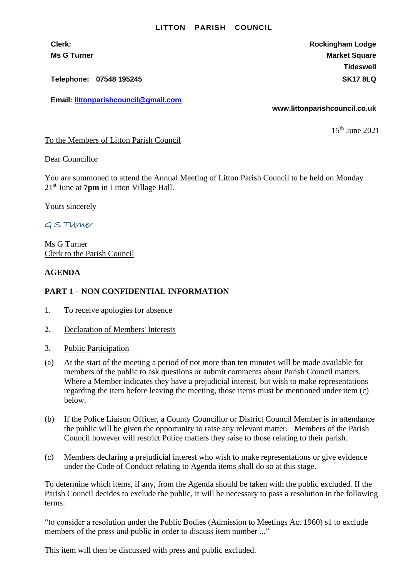#### **LITTON PARISH COUNCIL**

**Telephone: 07548 195245 SK17 8LQ**

**Email: [littonparishcouncil@gmail.com](mailto:littonparishcouncil@gmail.com)**

**Clerk: Rockingham Lodge Ms G Turner Market Square** Market Square Market Square Market Square **Tideswell**

**www.littonparishcouncil.co.uk**

15th June 2021

To the Members of Litton Parish Council

Dear Councillor

You are summoned to attend the Annual Meeting of Litton Parish Council to be held on Monday 21st June at **7pm** in Litton Village Hall.

Yours sincerely

# G S TUrner

Ms G Turner Clerk to the Parish Council

#### **AGENDA**

### **PART 1 – NON CONFIDENTIAL INFORMATION**

- 1. To receive apologies for absence
- 2. Declaration of Members' Interests
- 3. Public Participation
- (a) At the start of the meeting a period of not more than ten minutes will be made available for members of the public to ask questions or submit comments about Parish Council matters. Where a Member indicates they have a prejudicial interest, but wish to make representations regarding the item before leaving the meeting, those items must be mentioned under item (c) below.
- (b) If the Police Liaison Officer, a County Councillor or District Council Member is in attendance the public will be given the opportunity to raise any relevant matter. Members of the Parish Council however will restrict Police matters they raise to those relating to their parish.
- (c) Members declaring a prejudicial interest who wish to make representations or give evidence under the Code of Conduct relating to Agenda items shall do so at this stage.

To determine which items, if any, from the Agenda should be taken with the public excluded. If the Parish Council decides to exclude the public, it will be necessary to pass a resolution in the following terms:

"to consider a resolution under the Public Bodies (Admission to Meetings Act 1960) s1 to exclude members of the press and public in order to discuss item number ..."

This item will then be discussed with press and public excluded.